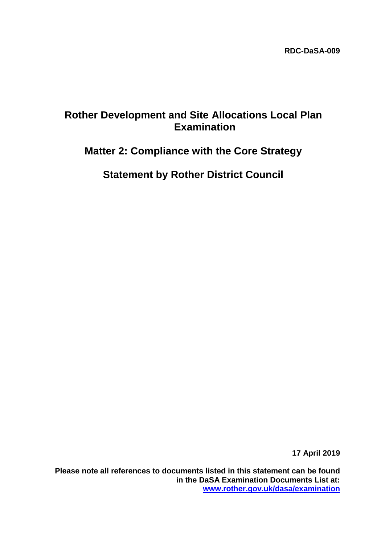# **Rother Development and Site Allocations Local Plan Examination**

# **Matter 2: Compliance with the Core Strategy**

**Statement by Rother District Council**

**17 April 2019**

**Please note all references to documents listed in this statement can be found in the DaSA Examination Documents List at: [www.rother.gov.uk/dasa/examination](http://www.rother.gov.uk/dasa/examination)**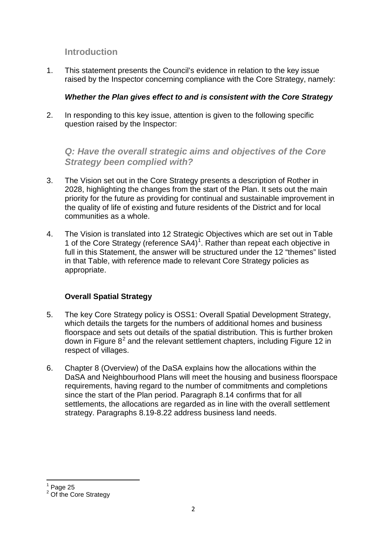# **Introduction**

1. This statement presents the Council's evidence in relation to the key issue raised by the Inspector concerning compliance with the Core Strategy, namely:

## *Whether the Plan gives effect to and is consistent with the Core Strategy*

2. In responding to this key issue, attention is given to the following specific question raised by the Inspector:

*Q: Have the overall strategic aims and objectives of the Core Strategy been complied with?* 

- 3. The Vision set out in the Core Strategy presents a description of Rother in 2028, highlighting the changes from the start of the Plan. It sets out the main priority for the future as providing for continual and sustainable improvement in the quality of life of existing and future residents of the District and for local communities as a whole.
- 4. The Vision is translated into 12 Strategic Objectives which are set out in Table [1](#page-1-0) of the Core Strategy (reference  $SA4$ )<sup>1</sup>. Rather than repeat each objective in full in this Statement, the answer will be structured under the 12 "themes" listed in that Table, with reference made to relevant Core Strategy policies as appropriate.

# **Overall Spatial Strategy**

- 5. The key Core Strategy policy is OSS1: Overall Spatial Development Strategy, which details the targets for the numbers of additional homes and business floorspace and sets out details of the spatial distribution. This is further broken down in Figure  $8^2$  $8^2$  and the relevant settlement chapters, including Figure 12 in respect of villages.
- 6. Chapter 8 (Overview) of the DaSA explains how the allocations within the DaSA and Neighbourhood Plans will meet the housing and business floorspace requirements, having regard to the number of commitments and completions since the start of the Plan period. Paragraph 8.14 confirms that for all settlements, the allocations are regarded as in line with the overall settlement strategy. Paragraphs 8.19-8.22 address business land needs.

 $<sup>1</sup>$  Page 25</sup>

<span id="page-1-1"></span><span id="page-1-0"></span><sup>&</sup>lt;sup>2</sup> Of the Core Strategy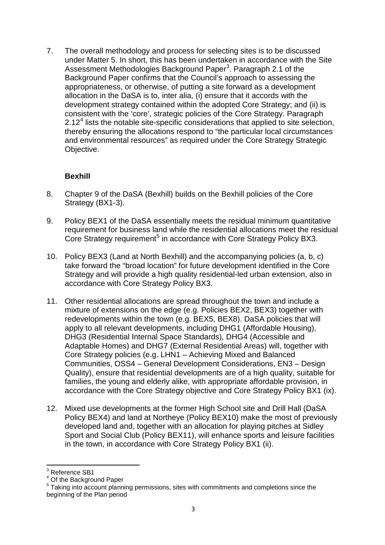7. The overall methodology and process for selecting sites is to be discussed under Matter 5. In short, this has been undertaken in accordance with the Site Assessment Methodologies Background Paper<sup>[3](#page-2-0)</sup>. Paragraph 2.1 of the Background Paper confirms that the Council's approach to assessing the appropriateness, or otherwise, of putting a site forward as a development allocation in the DaSA is to, inter alia, (i) ensure that it accords with the development strategy contained within the adopted Core Strategy; and (ii) is consistent with the 'core', strategic policies of the Core Strategy. Paragraph  $2.12<sup>4</sup>$  $2.12<sup>4</sup>$  $2.12<sup>4</sup>$  lists the notable site-specific considerations that applied to site selection, thereby ensuring the allocations respond to "the particular local circumstances and environmental resources" as required under the Core Strategy Strategic Objective.

## **Bexhill**

- 8. Chapter 9 of the DaSA (Bexhill) builds on the Bexhill policies of the Core Strategy (BX1-3).
- 9. Policy BEX1 of the DaSA essentially meets the residual minimum quantitative requirement for business land while the residential allocations meet the residual Core Strategy requirement<sup>[5](#page-2-2)</sup> in accordance with Core Strategy Policy BX3.
- 10. Policy BEX3 (Land at North Bexhill) and the accompanying policies (a, b, c) take forward the "broad location" for future development identified in the Core Strategy and will provide a high quality residential-led urban extension, also in accordance with Core Strategy Policy BX3.
- 11. Other residential allocations are spread throughout the town and include a mixture of extensions on the edge (e.g. Policies BEX2, BEX3) together with redevelopments within the town (e.g. BEX5, BEX8). DaSA policies that will apply to all relevant developments, including DHG1 (Affordable Housing), DHG3 (Residential Internal Space Standards), DHG4 (Accessible and Adaptable Homes) and DHG7 (External Residential Areas) will, together with Core Strategy policies (e.g. LHN1 – Achieving Mixed and Balanced Communities, OSS4 – General Development Considerations, EN3 – Design Quality), ensure that residential developments are of a high quality, suitable for families, the young and elderly alike, with appropriate affordable provision, in accordance with the Core Strategy objective and Core Strategy Policy BX1 (ix).
- 12. Mixed use developments at the former High School site and Drill Hall (DaSA Policy BEX4) and land at Northeye (Policy BEX10) make the most of previously developed land and, together with an allocation for playing pitches at Sidley Sport and Social Club (Policy BEX11), will enhance sports and leisure facilities in the town, in accordance with Core Strategy Policy BX1 (ii).

<span id="page-2-0"></span><sup>&</sup>lt;sup>3</sup> Reference SB1

<span id="page-2-1"></span><sup>&</sup>lt;sup>4</sup> Of the Background Paper

<span id="page-2-2"></span><sup>&</sup>lt;sup>5</sup> Taking into account planning permissions, sites with commitments and completions since the beginning of the Plan period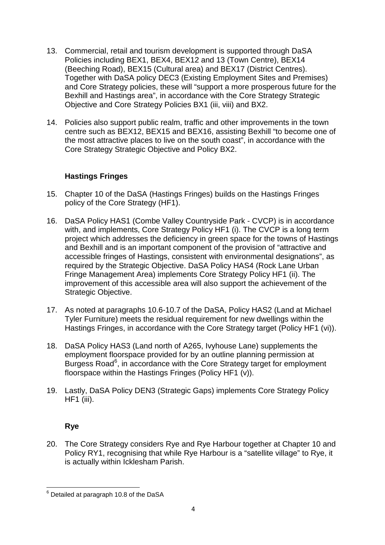- 13. Commercial, retail and tourism development is supported through DaSA Policies including BEX1, BEX4, BEX12 and 13 (Town Centre), BEX14 (Beeching Road), BEX15 (Cultural area) and BEX17 (District Centres). Together with DaSA policy DEC3 (Existing Employment Sites and Premises) and Core Strategy policies, these will "support a more prosperous future for the Bexhill and Hastings area", in accordance with the Core Strategy Strategic Objective and Core Strategy Policies BX1 (iii, viii) and BX2.
- 14. Policies also support public realm, traffic and other improvements in the town centre such as BEX12, BEX15 and BEX16, assisting Bexhill "to become one of the most attractive places to live on the south coast", in accordance with the Core Strategy Strategic Objective and Policy BX2.

## **Hastings Fringes**

- 15. Chapter 10 of the DaSA (Hastings Fringes) builds on the Hastings Fringes policy of the Core Strategy (HF1).
- 16. DaSA Policy HAS1 (Combe Valley Countryside Park CVCP) is in accordance with, and implements, Core Strategy Policy HF1 (i). The CVCP is a long term project which addresses the deficiency in green space for the towns of Hastings and Bexhill and is an important component of the provision of "attractive and accessible fringes of Hastings, consistent with environmental designations", as required by the Strategic Objective. DaSA Policy HAS4 (Rock Lane Urban Fringe Management Area) implements Core Strategy Policy HF1 (ii). The improvement of this accessible area will also support the achievement of the Strategic Objective.
- 17. As noted at paragraphs 10.6-10.7 of the DaSA, Policy HAS2 (Land at Michael Tyler Furniture) meets the residual requirement for new dwellings within the Hastings Fringes, in accordance with the Core Strategy target (Policy HF1 (vi)).
- 18. DaSA Policy HAS3 (Land north of A265, Ivyhouse Lane) supplements the employment floorspace provided for by an outline planning permission at Burgess Road<sup>[6](#page-3-0)</sup>, in accordance with the Core Strategy target for employment floorspace within the Hastings Fringes (Policy HF1 (v)).
- 19. Lastly, DaSA Policy DEN3 (Strategic Gaps) implements Core Strategy Policy HF1 (iii).

# **Rye**

20. The Core Strategy considers Rye and Rye Harbour together at Chapter 10 and Policy RY1, recognising that while Rye Harbour is a "satellite village" to Rye, it is actually within Icklesham Parish.

<span id="page-3-0"></span> $6$  Detailed at paragraph 10.8 of the DaSA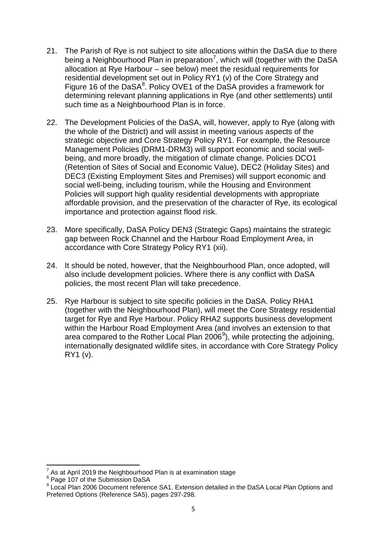- 21. The Parish of Rye is not subject to site allocations within the DaSA due to there being a Neighbourhood Plan in preparation<sup>[7](#page-4-0)</sup>, which will (together with the DaSA allocation at Rye Harbour – see below) meet the residual requirements for residential development set out in Policy RY1 (v) of the Core Strategy and Figure 16 of the DaSA $<sup>8</sup>$  $<sup>8</sup>$  $<sup>8</sup>$ . Policy OVE1 of the DaSA provides a framework for</sup> determining relevant planning applications in Rye (and other settlements) until such time as a Neighbourhood Plan is in force.
- 22. The Development Policies of the DaSA, will, however, apply to Rye (along with the whole of the District) and will assist in meeting various aspects of the strategic objective and Core Strategy Policy RY1. For example, the Resource Management Policies (DRM1-DRM3) will support economic and social wellbeing, and more broadly, the mitigation of climate change. Policies DCO1 (Retention of Sites of Social and Economic Value), DEC2 (Holiday Sites) and DEC3 (Existing Employment Sites and Premises) will support economic and social well-being, including tourism, while the Housing and Environment Policies will support high quality residential developments with appropriate affordable provision, and the preservation of the character of Rye, its ecological importance and protection against flood risk.
- 23. More specifically, DaSA Policy DEN3 (Strategic Gaps) maintains the strategic gap between Rock Channel and the Harbour Road Employment Area, in accordance with Core Strategy Policy RY1 (xii).
- 24. It should be noted, however, that the Neighbourhood Plan, once adopted, will also include development policies. Where there is any conflict with DaSA policies, the most recent Plan will take precedence.
- 25. Rye Harbour is subject to site specific policies in the DaSA. Policy RHA1 (together with the Neighbourhood Plan), will meet the Core Strategy residential target for Rye and Rye Harbour. Policy RHA2 supports business development within the Harbour Road Employment Area (and involves an extension to that area compared to the Rother Local Plan 2006<sup>[9](#page-4-2)</sup>), while protecting the adjoining, internationally designated wildlife sites, in accordance with Core Strategy Policy RY1 (v).

As at April 2019 the Neighbourhood Plan is at examination stage

<span id="page-4-1"></span><span id="page-4-0"></span><sup>&</sup>lt;sup>8</sup> Page 107 of the Submission DaSA

<span id="page-4-2"></span><sup>&</sup>lt;sup>9</sup> Local Plan 2006 Document reference SA1. Extension detailed in the DaSA Local Plan Options and Preferred Options (Reference SA5), pages 297-298.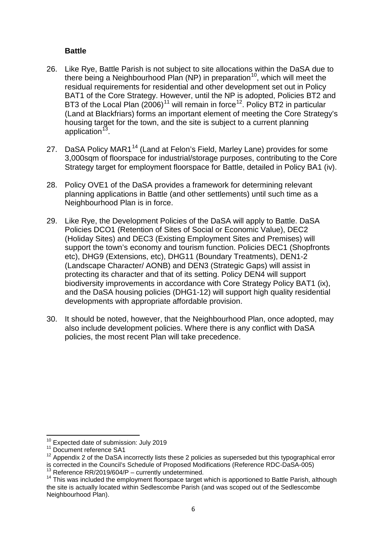#### **Battle**

- 26. Like Rye, Battle Parish is not subject to site allocations within the DaSA due to there being a Neighbourhood Plan (NP) in preparation<sup>[10](#page-5-0)</sup>, which will meet the residual requirements for residential and other development set out in Policy BAT1 of the Core Strategy. However, until the NP is adopted, Policies BT2 and BT3 of the Local Plan  $(2006)^{11}$  $(2006)^{11}$  $(2006)^{11}$  will remain in force<sup>12</sup>. Policy BT2 in particular (Land at Blackfriars) forms an important element of meeting the Core Strategy's housing target for the town, and the site is subject to a current planning application $13$ .
- 27. DaSA Policy MAR1<sup>[14](#page-5-4)</sup> (Land at Felon's Field, Marley Lane) provides for some 3,000sqm of floorspace for industrial/storage purposes, contributing to the Core Strategy target for employment floorspace for Battle, detailed in Policy BA1 (iv).
- 28. Policy OVE1 of the DaSA provides a framework for determining relevant planning applications in Battle (and other settlements) until such time as a Neighbourhood Plan is in force.
- 29. Like Rye, the Development Policies of the DaSA will apply to Battle. DaSA Policies DCO1 (Retention of Sites of Social or Economic Value), DEC2 (Holiday Sites) and DEC3 (Existing Employment Sites and Premises) will support the town's economy and tourism function. Policies DEC1 (Shopfronts etc), DHG9 (Extensions, etc), DHG11 (Boundary Treatments), DEN1-2 (Landscape Character/ AONB) and DEN3 (Strategic Gaps) will assist in protecting its character and that of its setting. Policy DEN4 will support biodiversity improvements in accordance with Core Strategy Policy BAT1 (ix), and the DaSA housing policies (DHG1-12) will support high quality residential developments with appropriate affordable provision.
- 30. It should be noted, however, that the Neighbourhood Plan, once adopted, may also include development policies. Where there is any conflict with DaSA policies, the most recent Plan will take precedence.

<span id="page-5-0"></span> $10^{10}$  Expected date of submission: July 2019<br> $11^{11}$  Document reference SA1

<span id="page-5-2"></span><span id="page-5-1"></span> $12$  Appendix 2 of the DaSA incorrectly lists these 2 policies as superseded but this typographical error is corrected in the Council's Schedule of Proposed Modifications (Reference RDC-DaSA-005)

<span id="page-5-4"></span><span id="page-5-3"></span><sup>&</sup>lt;sup>13</sup> Reference RR/2019/604/P – currently undetermined.<br><sup>14</sup> This was included the employment floorspace target which is apportioned to Battle Parish, although the site is actually located within Sedlescombe Parish (and was scoped out of the Sedlescombe Neighbourhood Plan).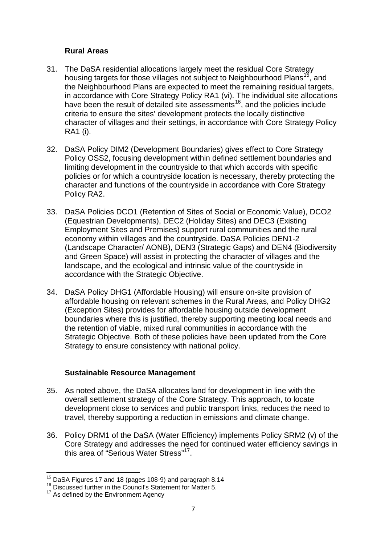#### **Rural Areas**

- 31. The DaSA residential allocations largely meet the residual Core Strategy housing targets for those villages not subject to Neighbourhood Plans<sup>15</sup>, and the Neighbourhood Plans are expected to meet the remaining residual targets, in accordance with Core Strategy Policy RA1 (vi). The individual site allocations have been the result of detailed site assessments<sup>[16](#page-6-1)</sup>, and the policies include criteria to ensure the sites' development protects the locally distinctive character of villages and their settings, in accordance with Core Strategy Policy RA1 (i).
- 32. DaSA Policy DIM2 (Development Boundaries) gives effect to Core Strategy Policy OSS2, focusing development within defined settlement boundaries and limiting development in the countryside to that which accords with specific policies or for which a countryside location is necessary, thereby protecting the character and functions of the countryside in accordance with Core Strategy Policy RA2.
- 33. DaSA Policies DCO1 (Retention of Sites of Social or Economic Value), DCO2 (Equestrian Developments), DEC2 (Holiday Sites) and DEC3 (Existing Employment Sites and Premises) support rural communities and the rural economy within villages and the countryside. DaSA Policies DEN1-2 (Landscape Character/ AONB), DEN3 (Strategic Gaps) and DEN4 (Biodiversity and Green Space) will assist in protecting the character of villages and the landscape, and the ecological and intrinsic value of the countryside in accordance with the Strategic Objective.
- 34. DaSA Policy DHG1 (Affordable Housing) will ensure on-site provision of affordable housing on relevant schemes in the Rural Areas, and Policy DHG2 (Exception Sites) provides for affordable housing outside development boundaries where this is justified, thereby supporting meeting local needs and the retention of viable, mixed rural communities in accordance with the Strategic Objective. Both of these policies have been updated from the Core Strategy to ensure consistency with national policy.

## **Sustainable Resource Management**

- 35. As noted above, the DaSA allocates land for development in line with the overall settlement strategy of the Core Strategy. This approach, to locate development close to services and public transport links, reduces the need to travel, thereby supporting a reduction in emissions and climate change.
- 36. Policy DRM1 of the DaSA (Water Efficiency) implements Policy SRM2 (v) of the Core Strategy and addresses the need for continued water efficiency savings in this area of "Serious Water Stress"[17.](#page-6-2)

<span id="page-6-0"></span> $15$  DaSA Figures 17 and 18 (pages 108-9) and paragraph 8.14  $16$  Discussed further in the Council's Statement for Matter 5.

<span id="page-6-2"></span><span id="page-6-1"></span><sup>&</sup>lt;sup>17</sup> As defined by the Environment Agency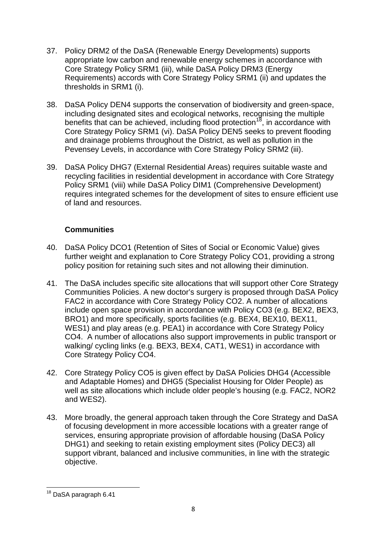- 37. Policy DRM2 of the DaSA (Renewable Energy Developments) supports appropriate low carbon and renewable energy schemes in accordance with Core Strategy Policy SRM1 (iii), while DaSA Policy DRM3 (Energy Requirements) accords with Core Strategy Policy SRM1 (ii) and updates the thresholds in SRM1 (i).
- 38. DaSA Policy DEN4 supports the conservation of biodiversity and green-space, including designated sites and ecological networks, recognising the multiple benefits that can be achieved, including flood protection<sup>[18](#page-7-0)</sup>, in accordance with Core Strategy Policy SRM1 (vi). DaSA Policy DEN5 seeks to prevent flooding and drainage problems throughout the District, as well as pollution in the Pevensey Levels, in accordance with Core Strategy Policy SRM2 (iii).
- 39. DaSA Policy DHG7 (External Residential Areas) requires suitable waste and recycling facilities in residential development in accordance with Core Strategy Policy SRM1 (viii) while DaSA Policy DIM1 (Comprehensive Development) requires integrated schemes for the development of sites to ensure efficient use of land and resources.

## **Communities**

- 40. DaSA Policy DCO1 (Retention of Sites of Social or Economic Value) gives further weight and explanation to Core Strategy Policy CO1, providing a strong policy position for retaining such sites and not allowing their diminution.
- 41. The DaSA includes specific site allocations that will support other Core Strategy Communities Policies. A new doctor's surgery is proposed through DaSA Policy FAC2 in accordance with Core Strategy Policy CO2. A number of allocations include open space provision in accordance with Policy CO3 (e.g. BEX2, BEX3, BRO1) and more specifically, sports facilities (e.g. BEX4, BEX10, BEX11, WES1) and play areas (e.g. PEA1) in accordance with Core Strategy Policy CO4. A number of allocations also support improvements in public transport or walking/ cycling links (e.g. BEX3, BEX4, CAT1, WES1) in accordance with Core Strategy Policy CO4.
- 42. Core Strategy Policy CO5 is given effect by DaSA Policies DHG4 (Accessible and Adaptable Homes) and DHG5 (Specialist Housing for Older People) as well as site allocations which include older people's housing (e.g. FAC2, NOR2 and WES2).
- 43. More broadly, the general approach taken through the Core Strategy and DaSA of focusing development in more accessible locations with a greater range of services, ensuring appropriate provision of affordable housing (DaSA Policy DHG1) and seeking to retain existing employment sites (Policy DEC3) all support vibrant, balanced and inclusive communities, in line with the strategic objective.

<span id="page-7-0"></span><sup>&</sup>lt;sup>18</sup> DaSA paragraph 6.41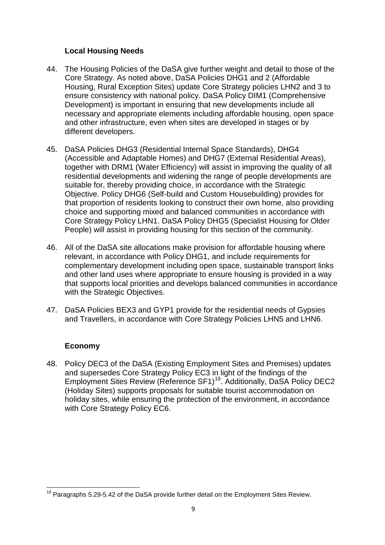#### **Local Housing Needs**

- 44. The Housing Policies of the DaSA give further weight and detail to those of the Core Strategy. As noted above, DaSA Policies DHG1 and 2 (Affordable Housing, Rural Exception Sites) update Core Strategy policies LHN2 and 3 to ensure consistency with national policy. DaSA Policy DIM1 (Comprehensive Development) is important in ensuring that new developments include all necessary and appropriate elements including affordable housing, open space and other infrastructure, even when sites are developed in stages or by different developers.
- 45. DaSA Policies DHG3 (Residential Internal Space Standards), DHG4 (Accessible and Adaptable Homes) and DHG7 (External Residential Areas), together with DRM1 (Water Efficiency) will assist in improving the quality of all residential developments and widening the range of people developments are suitable for, thereby providing choice, in accordance with the Strategic Objective. Policy DHG6 (Self-build and Custom Housebuilding) provides for that proportion of residents looking to construct their own home, also providing choice and supporting mixed and balanced communities in accordance with Core Strategy Policy LHN1. DaSA Policy DHG5 (Specialist Housing for Older People) will assist in providing housing for this section of the community.
- 46. All of the DaSA site allocations make provision for affordable housing where relevant, in accordance with Policy DHG1, and include requirements for complementary development including open space, sustainable transport links and other land uses where appropriate to ensure housing is provided in a way that supports local priorities and develops balanced communities in accordance with the Strategic Objectives.
- 47. DaSA Policies BEX3 and GYP1 provide for the residential needs of Gypsies and Travellers, in accordance with Core Strategy Policies LHN5 and LHN6.

## **Economy**

48. Policy DEC3 of the DaSA (Existing Employment Sites and Premises) updates and supersedes Core Strategy Policy EC3 in light of the findings of the Employment Sites Review (Reference SF1)<sup>[19](#page-8-0)</sup>. Additionally, DaSA Policy DEC2 (Holiday Sites) supports proposals for suitable tourist accommodation on holiday sites, while ensuring the protection of the environment, in accordance with Core Strategy Policy EC6.

<span id="page-8-0"></span> $19$  Paragraphs 5.29-5.42 of the DaSA provide further detail on the Employment Sites Review.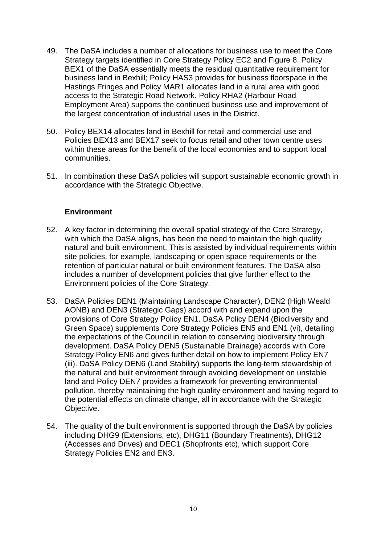- 49. The DaSA includes a number of allocations for business use to meet the Core Strategy targets identified in Core Strategy Policy EC2 and Figure 8. Policy BEX1 of the DaSA essentially meets the residual quantitative requirement for business land in Bexhill; Policy HAS3 provides for business floorspace in the Hastings Fringes and Policy MAR1 allocates land in a rural area with good access to the Strategic Road Network. Policy RHA2 (Harbour Road Employment Area) supports the continued business use and improvement of the largest concentration of industrial uses in the District.
- 50. Policy BEX14 allocates land in Bexhill for retail and commercial use and Policies BEX13 and BEX17 seek to focus retail and other town centre uses within these areas for the benefit of the local economies and to support local communities.
- 51. In combination these DaSA policies will support sustainable economic growth in accordance with the Strategic Objective.

#### **Environment**

- 52. A key factor in determining the overall spatial strategy of the Core Strategy, with which the DaSA aligns, has been the need to maintain the high quality natural and built environment. This is assisted by individual requirements within site policies, for example, landscaping or open space requirements or the retention of particular natural or built environment features. The DaSA also includes a number of development policies that give further effect to the Environment policies of the Core Strategy.
- 53. DaSA Policies DEN1 (Maintaining Landscape Character), DEN2 (High Weald AONB) and DEN3 (Strategic Gaps) accord with and expand upon the provisions of Core Strategy Policy EN1. DaSA Policy DEN4 (Biodiversity and Green Space) supplements Core Strategy Policies EN5 and EN1 (vi), detailing the expectations of the Council in relation to conserving biodiversity through development. DaSA Policy DEN5 (Sustainable Drainage) accords with Core Strategy Policy EN6 and gives further detail on how to implement Policy EN7 (iii). DaSA Policy DEN6 (Land Stability) supports the long-term stewardship of the natural and built environment through avoiding development on unstable land and Policy DEN7 provides a framework for preventing environmental pollution, thereby maintaining the high quality environment and having regard to the potential effects on climate change, all in accordance with the Strategic Objective.
- 54. The quality of the built environment is supported through the DaSA by policies including DHG9 (Extensions, etc), DHG11 (Boundary Treatments), DHG12 (Accesses and Drives) and DEC1 (Shopfronts etc), which support Core Strategy Policies EN2 and EN3.